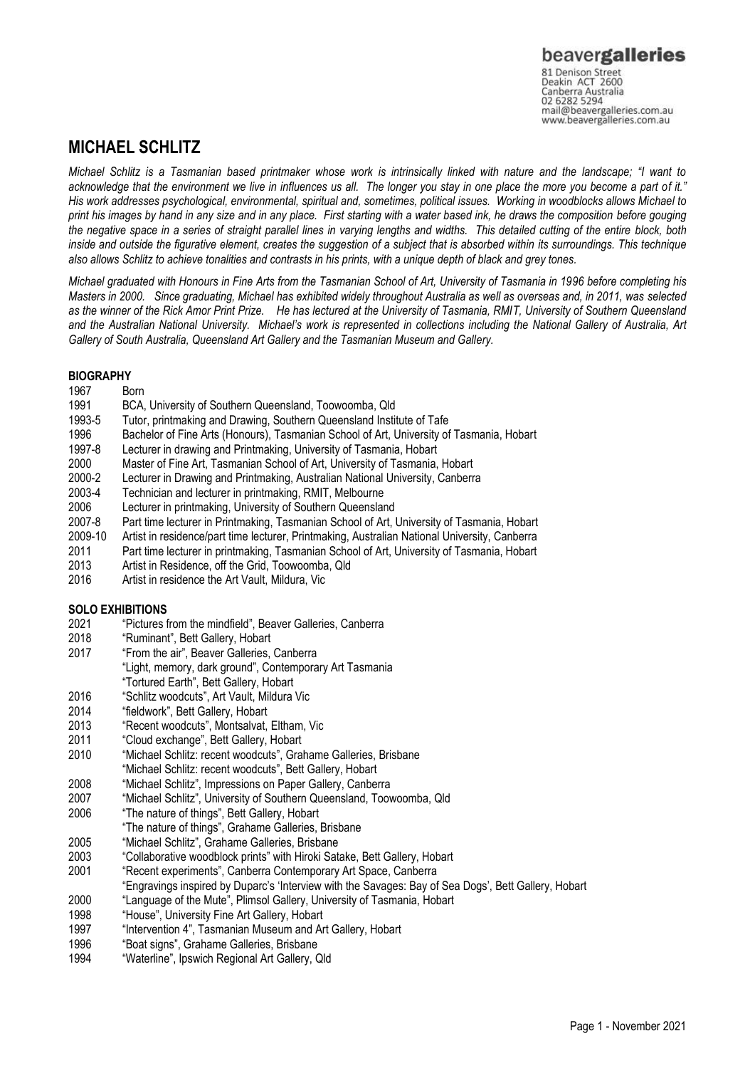# **MICHAEL SCHLITZ**

*Michael Schlitz is a Tasmanian based printmaker whose work is intrinsically linked with nature and the landscape; "I want to acknowledge that the environment we live in influences us all. The longer you stay in one place the more you become a part of it." His work addresses psychological, environmental, spiritual and, sometimes, political issues. Working in woodblocks allows Michael to print his images by hand in any size and in any place. First starting with a water based ink, he draws the composition before gouging the negative space in a series of straight parallel lines in varying lengths and widths. This detailed cutting of the entire block, both inside and outside the figurative element, creates the suggestion of a subject that is absorbed within its surroundings. This technique also allows Schlitz to achieve tonalities and contrasts in his prints, with a unique depth of black and grey tones.* 

*Michael graduated with Honours in Fine Arts from the Tasmanian School of Art, University of Tasmania in 1996 before completing his Masters in 2000. Since graduating, Michael has exhibited widely throughout Australia as well as overseas and, in 2011, was selected as the winner of the Rick Amor Print Prize. He has lectured at the University of Tasmania, RMIT, University of Southern Queensland*  and the Australian National University. Michael's work is represented in collections including the National Gallery of Australia, Art *Gallery of South Australia, Queensland Art Gallery and the Tasmanian Museum and Gallery.*

# **BIOGRAPHY**

- 1967 Born
- 1991 BCA, University of Southern Queensland, Toowoomba, Qld
- 1993-5 Tutor, printmaking and Drawing, Southern Queensland Institute of Tafe
- 1996 Bachelor of Fine Arts (Honours), Tasmanian School of Art, University of Tasmania, Hobart
- 1997-8 Lecturer in drawing and Printmaking, University of Tasmania, Hobart
- 2000 Master of Fine Art, Tasmanian School of Art, University of Tasmania, Hobart
- 2000-2 Lecturer in Drawing and Printmaking, Australian National University, Canberra
- 2003-4 Technician and lecturer in printmaking, RMIT, Melbourne
- 2006 Lecturer in printmaking, University of Southern Queensland<br>2007-8 Part time lecturer in Printmaking. Tasmanian School of Art.
- 2007-8 Part time lecturer in Printmaking, Tasmanian School of Art, University of Tasmania, Hobart
- Artist in residence/part time lecturer, Printmaking, Australian National University, Canberra
- 2011 Part time lecturer in printmaking, Tasmanian School of Art, University of Tasmania, Hobart
- 2013 Artist in Residence, off the Grid, Toowoomba, Qld
- 2016 Artist in residence the Art Vault, Mildura, Vic

# **SOLO EXHIBITIONS**

- 2021 "Pictures from the mindfield", Beaver Galleries, Canberra
- 2018 "Ruminant", Bett Gallery, Hobart
- 2017 "From the air", Beaver Galleries, Canberra
	- "Light, memory, dark ground", Contemporary Art Tasmania
- "Tortured Earth", Bett Gallery, Hobart
- 2016 "Schlitz woodcuts", Art Vault, Mildura Vic
- 2014 "fieldwork", Bett Gallery, Hobart
- 2013 "Recent woodcuts", Montsalvat, Eltham, Vic
- 2011 "Cloud exchange", Bett Gallery, Hobart
- 2010 "Michael Schlitz: recent woodcuts", Grahame Galleries, Brisbane
- "Michael Schlitz: recent woodcuts", Bett Gallery, Hobart
- 2008 "Michael Schlitz", Impressions on Paper Gallery, Canberra
- 2007 "Michael Schlitz", University of Southern Queensland, Toowoomba, Qld
- "The nature of things", Bett Gallery, Hobart
- "The nature of things", Grahame Galleries, Brisbane
- 2005 "Michael Schlitz", Grahame Galleries, Brisbane
- 2003 "Collaborative woodblock prints" with Hiroki Satake, Bett Gallery, Hobart
- 2001 "Recent experiments", Canberra Contemporary Art Space, Canberra
- "Engravings inspired by Duparc's 'Interview with the Savages: Bay of Sea Dogs', Bett Gallery, Hobart
- 2000 "Language of the Mute", Plimsol Gallery, University of Tasmania, Hobart
- 1998 "House", University Fine Art Gallery, Hobart
- 1997 "Intervention 4", Tasmanian Museum and Art Gallery, Hobart
- 1996 "Boat signs", Grahame Galleries, Brisbane
- 1994 "Waterline", Ipswich Regional Art Gallery, Qld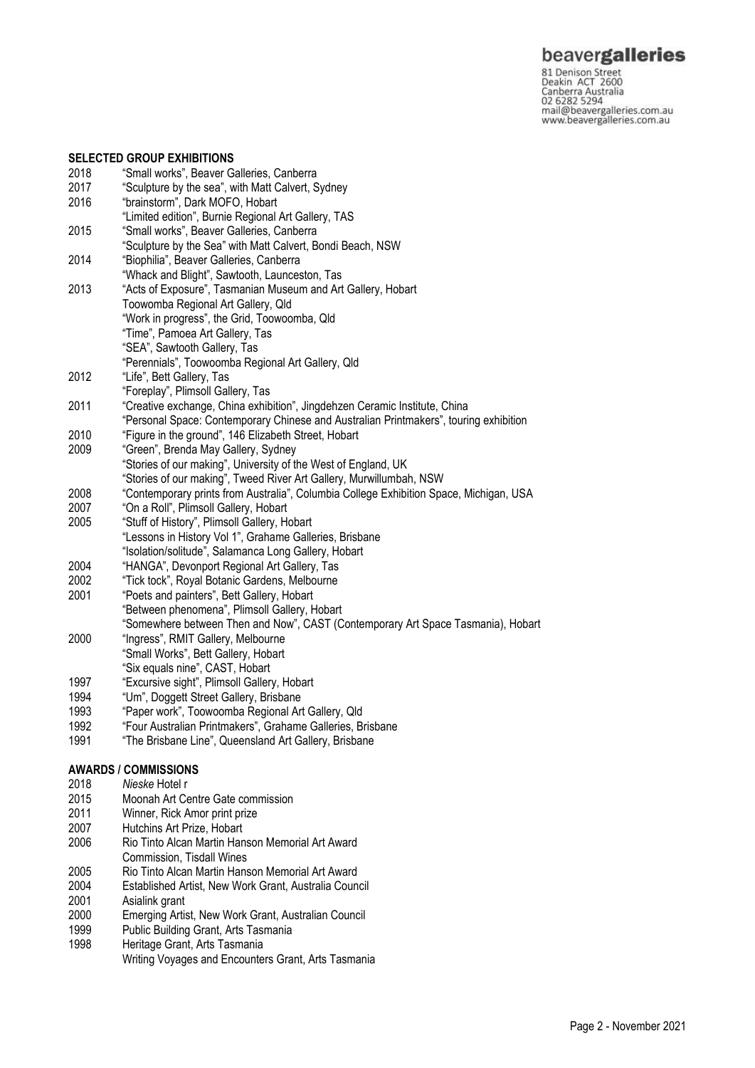beavergalleries

81 Denison Street<br>
81 Denison Street<br>
Deakin ACT 2600<br>
Canberra Australia<br>
02 6282 5294<br>
mail@beavergalleries.com.au<br>
www.beavergalleries.com.au

#### **SELECTED GROUP EXHIBITIONS**

| 2018 | "Small works", Beaver Galleries, Canberra                                              |
|------|----------------------------------------------------------------------------------------|
| 2017 | "Sculpture by the sea", with Matt Calvert, Sydney                                      |
| 2016 | "brainstorm", Dark MOFO, Hobart                                                        |
|      | "Limited edition", Burnie Regional Art Gallery, TAS                                    |
| 2015 | "Small works", Beaver Galleries, Canberra                                              |
|      | "Sculpture by the Sea" with Matt Calvert, Bondi Beach, NSW                             |
| 2014 | "Biophilia", Beaver Galleries, Canberra                                                |
|      | "Whack and Blight", Sawtooth, Launceston, Tas                                          |
| 2013 | "Acts of Exposure", Tasmanian Museum and Art Gallery, Hobart                           |
|      | Toowomba Regional Art Gallery, Qld                                                     |
|      | "Work in progress", the Grid, Toowoomba, Qld                                           |
|      | "Time", Pamoea Art Gallery, Tas                                                        |
|      | "SEA", Sawtooth Gallery, Tas                                                           |
|      | "Perennials", Toowoomba Regional Art Gallery, Qld                                      |
| 2012 | "Life", Bett Gallery, Tas                                                              |
|      | "Foreplay", Plimsoll Gallery, Tas                                                      |
| 2011 | "Creative exchange, China exhibition", Jingdehzen Ceramic Institute, China             |
|      | "Personal Space: Contemporary Chinese and Australian Printmakers", touring exhibition  |
| 2010 | "Figure in the ground", 146 Elizabeth Street, Hobart                                   |
| 2009 | "Green", Brenda May Gallery, Sydney                                                    |
|      | "Stories of our making", University of the West of England, UK                         |
|      | "Stories of our making", Tweed River Art Gallery, Murwillumbah, NSW                    |
| 2008 | "Contemporary prints from Australia", Columbia College Exhibition Space, Michigan, USA |
| 2007 | "On a Roll", Plimsoll Gallery, Hobart                                                  |
| 2005 | "Stuff of History", Plimsoll Gallery, Hobart                                           |
|      | "Lessons in History Vol 1", Grahame Galleries, Brisbane                                |
|      | "Isolation/solitude", Salamanca Long Gallery, Hobart                                   |
| 2004 | "HANGA", Devonport Regional Art Gallery, Tas                                           |
| 2002 | "Tick tock", Royal Botanic Gardens, Melbourne                                          |
| 2001 | "Poets and painters", Bett Gallery, Hobart                                             |
|      | "Between phenomena", Plimsoll Gallery, Hobart                                          |
|      | "Somewhere between Then and Now", CAST (Contemporary Art Space Tasmania), Hobart       |
| 2000 | "Ingress", RMIT Gallery, Melbourne                                                     |
|      | "Small Works", Bett Gallery, Hobart                                                    |
|      | "Six equals nine", CAST, Hobart                                                        |
| 1997 | "Excursive sight", Plimsoll Gallery, Hobart                                            |
| 1994 | "Um", Doggett Street Gallery, Brisbane                                                 |
| 1993 | "Paper work", Toowoomba Regional Art Gallery, Qld                                      |
| 1992 | "Four Australian Printmakers", Grahame Galleries, Brisbane                             |
| 1991 | "The Brisbane Line", Queensland Art Gallery, Brisbane                                  |
|      |                                                                                        |
|      | <b>AWARDS / COMMISSIONS</b>                                                            |
| 2018 | <i>Nieske</i> Hotel r                                                                  |

- 2015 Moonah Art Centre Gate commission<br>2011 Winner, Rick Amor print prize
- 2011 Winner, Rick Amor print prize<br>2007 Hutchins Art Prize. Hobart
- 2007 Hutchins Art Prize, Hobart<br>2006 Rio Tinto Alcan Martin Har
- Rio Tinto Alcan Martin Hanson Memorial Art Award Commission, Tisdall Wines
- 2005 Rio Tinto Alcan Martin Hanson Memorial Art Award
- 2004 Established Artist, New Work Grant, Australia Council 2001 Asialink grant
- 2000 Emerging Artist, New Work Grant, Australian Council
- 
- 1999 Public Building Grant, Arts Tasmania<br>1998 Heritage Grant, Arts Tasmania Heritage Grant, Arts Tasmania Writing Voyages and Encounters Grant, Arts Tasmania